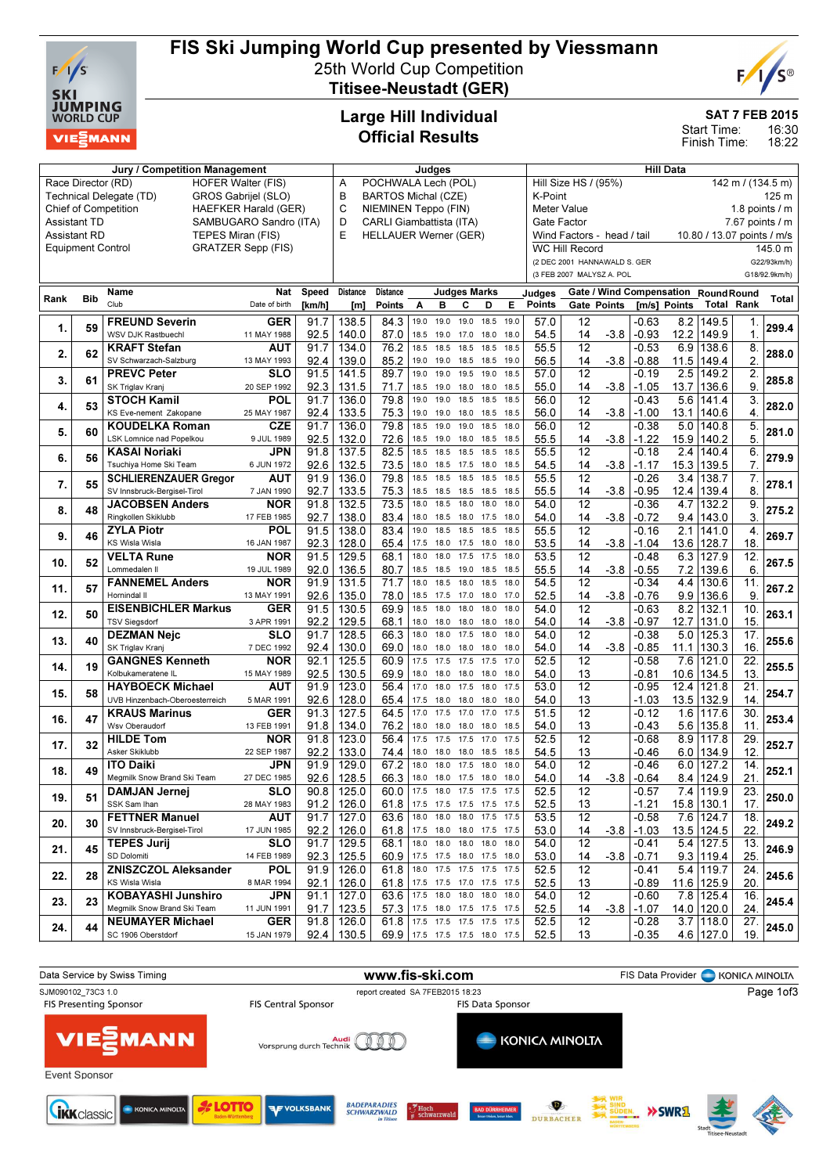

# FIS Ski Jumping World Cup presented by Viessmann

25th World Cup Competition Titisee-Neustadt (GER)



SAT 7 FEB 2015

16:30 18:22 Start Time: Finish Time:

## Large Hill Individual Official Results

|                                                            |                          | Jury / Competition Management          | Judges                    |              |                               |                                                              |              |                          | <b>Hill Data</b>                          |              |                                |              |                                 |        |                    |              |                                     |                        |               |
|------------------------------------------------------------|--------------------------|----------------------------------------|---------------------------|--------------|-------------------------------|--------------------------------------------------------------|--------------|--------------------------|-------------------------------------------|--------------|--------------------------------|--------------|---------------------------------|--------|--------------------|--------------|-------------------------------------|------------------------|---------------|
|                                                            | Race Director (RD)       | <b>HOFER Walter (FIS)</b>              | POCHWALA Lech (POL)<br>Α  |              |                               |                                                              |              |                          | Hill Size HS / (95%)<br>142 m / (134.5 m) |              |                                |              |                                 |        |                    |              |                                     |                        |               |
| Technical Delegate (TD)<br>GROS Gabrijel (SLO)             |                          |                                        |                           |              |                               | <b>BARTOS Michal (CZE)</b><br>в<br>C<br>NIEMINEN Teppo (FIN) |              |                          |                                           |              |                                |              | K-Point<br>125 m                |        |                    |              |                                     |                        |               |
| <b>HAEFKER Harald (GER)</b><br><b>Chief of Competition</b> |                          |                                        |                           |              |                               |                                                              |              |                          |                                           |              |                                |              | Meter Value<br>1.8 points $/$ m |        |                    |              |                                     |                        |               |
| <b>Assistant TD</b><br>SAMBUGARO Sandro (ITA)              |                          |                                        |                           |              | D<br>CARLI Giambattista (ITA) |                                                              |              |                          |                                           |              | 7.67 points / m<br>Gate Factor |              |                                 |        |                    |              |                                     |                        |               |
|                                                            | <b>Assistant RD</b>      | TEPES Miran (FIS)                      |                           |              | E                             | <b>HELLAUER Werner (GER)</b>                                 |              |                          |                                           |              |                                |              | Wind Factors - head / tail      |        |                    |              | 10.80 / 13.07 points / m/s          |                        |               |
|                                                            | <b>Equipment Control</b> |                                        | <b>GRATZER Sepp (FIS)</b> |              |                               |                                                              |              |                          |                                           |              |                                |              | WC Hill Record                  |        |                    |              |                                     |                        | 145.0 m       |
|                                                            |                          |                                        |                           |              |                               |                                                              |              |                          |                                           |              |                                |              | (2 DEC 2001 HANNAWALD S. GER    |        |                    |              |                                     |                        | G22/93km/h)   |
|                                                            |                          |                                        |                           |              |                               |                                                              |              |                          |                                           |              |                                |              | (3 FEB 2007 MALYSZ A. POL       |        |                    |              |                                     |                        | G18/92.9km/h) |
|                                                            |                          | Name                                   | Nat                       | Speed        | Distance                      | Distance                                                     |              |                          | <b>Judges Marks</b>                       |              |                                | Judges       |                                 |        |                    |              | Gate / Wind Compensation RoundRound |                        |               |
| Rank                                                       | <b>Bib</b>               | Club                                   | Date of birth             | [km/h]       | [m]                           | <b>Points</b>                                                | A            | в                        | C                                         | D            | E                              | Points       | <b>Gate Points</b>              |        |                    | [m/s] Points | <b>Total Rank</b>                   |                        | <b>Total</b>  |
|                                                            |                          | <b>FREUND Severin</b>                  | <b>GER</b>                | 91.7         | 138.5                         | 84.3                                                         | 19.0         | 19.0                     | 19.0                                      | 18.5         | 19.0                           | 57.0         | 12                              |        | $-0.63$            |              | 8.2 149.5                           | 1.                     |               |
| 1.                                                         | 59                       | WSV DJK Rastbuechl                     | 11 MAY 1988               | 92.5         | 140.0                         | 87.0                                                         | 18.5         | 19.0                     | 17.0                                      | 18.0         | 18.0                           | 54.5         | 14                              | $-3.8$ | $-0.93$            | 12.2         | 149.9                               | $\mathbf 1$            | 299.4         |
|                                                            |                          | <b>KRAFT Stefan</b>                    | AUT                       | 91.7         | 134.0                         | 76.2                                                         | 18.5         | 18.5                     | 18.5                                      | 18.5         | 18.5                           | 55.5         | $\overline{12}$                 |        | $-0.53$            | 6.9          | 138.6                               | 8.                     |               |
| 2.                                                         | 62                       | SV Schwarzach-Salzburg                 | 13 MAY 1993               | 92.4         | 139.0                         | 85.2                                                         | 19.0         | 19.0                     | 18.5                                      | 18.5         | 19.0                           | 56.5         | 14                              | $-3.8$ | $-0.88$            | 11.5         | 149.4                               | $\overline{2}$         | 288.0         |
|                                                            |                          | <b>PREVC Peter</b>                     | SLO                       | 91.5         | 141.5                         | 89.7                                                         | 19.0         | 19.0                     | 19.5                                      | 19.0         | 18.5                           | 57.0         | $\overline{12}$                 |        | $-0.19$            | 2.5          | 149.2                               | 2.                     |               |
| 3.                                                         | 61                       | SK Triglav Kranj                       | 20 SEP 1992               | 92.3         | 131.5                         | 71.7                                                         | 18.5         | 19.0                     | 18.0                                      | 18.0         | 18.5                           | 55.0         | 14                              | $-3.8$ | $-1.05$            | 13.7         | 136.6                               | 9.                     | 285.8         |
| 4.                                                         | 53                       | <b>STOCH Kamil</b>                     | POL                       | 91.7         | 136.0                         | 79.8                                                         | 19.0         | 19.0                     | 18.5                                      | 18.5         | 18.5                           | 56.0         | $\overline{12}$                 |        | $-0.43$            | 5.6          | 141.4                               | 3.                     | 282.0         |
|                                                            |                          | KS Eve-nement Zakopane                 | 25 MAY 1987               | 92.4         | 133.5                         | 75.3                                                         | 19.0         | 19.0                     | 18.0                                      | 18.5         | 18.5                           | 56.0         | 14                              | $-3.8$ | $-1.00$            | 13.1         | 140.6                               | 4.                     |               |
| 5.                                                         | 60                       | <b>KOUDELKA Roman</b>                  | <b>CZE</b>                | 91.7         | 136.0                         | 79.8                                                         | 18.5         | 19.0                     | 19.0                                      | 18.5         | 18.0                           | 56.0         | $\overline{12}$                 |        | $-0.38$            | 5.0          | 140.8                               | 5.                     | 281.0         |
|                                                            |                          | LSK Lomnice nad Popelkou               | 9 JUL 1989                | 92.5         | 132.0                         | 72.6                                                         | 18.5         | 19.0                     | 18.0                                      | 18.5         | 18.5                           | 55.5         | 14                              | $-3.8$ | $-1.22$            | 15.9         | 140.2                               | 5.                     |               |
| 6.                                                         | 56                       | <b>KASAI Noriaki</b>                   | JPN                       | 91.8         | 137.5                         | 82.5                                                         | 18.5         | 18.5                     | 18.5                                      | 18.5         | 18.5                           | 55.5         | $\overline{12}$                 |        | $-0.18$            | 2.4          | 140.4                               | 6.                     | 279.9         |
|                                                            |                          | Tsuchiya Home Ski Team                 | 6 JUN 1972                | 92.6         | 132.5                         | 73.5                                                         | 18.0         | 18.5                     | 17.5                                      | 18.0         | 18.5                           | 54.5         | 14                              | $-3.8$ | $-1.17$            |              | 15.3 139.5                          | 7.                     |               |
| 7.                                                         | 55                       | <b>SCHLIERENZAUER Gregor</b>           | AUT                       | 91.9         | 136.0                         | 79.8                                                         | 18.5         | 18.5                     | 18.5                                      | 18.5         | 18.5                           | 55.5         | 12                              |        | $-0.26$            | 3.4          | 138.7                               | 7.                     | 278.1         |
|                                                            |                          | SV Innsbruck-Bergisel-Tirol            | 7 JAN 1990                | 92.7         | 133.5                         | 75.3                                                         | 18.5         | 18.5                     | 18.5                                      | 18.5         | 18.5                           | 55.5         | 14                              | $-3.8$ | $-0.95$            | 12.4         | 139.4                               | 8                      |               |
| 8.                                                         | 48                       | <b>JACOBSEN Anders</b>                 | <b>NOR</b>                | 91.8         | 132.5                         | 73.5                                                         | 18.0         | 18.5                     | 18.0                                      | 18.0         | 18.0                           | 54.0         | $\overline{12}$                 |        | $-0.36$            | 4.7          | 132.2                               | 9.                     | 275.2         |
|                                                            |                          | Ringkollen Skiklubb                    | 17 FEB 1985               | 92.7         | 138.0                         | 83.4                                                         | 18.0         | 18.5                     | 18.0                                      | 17.5         | 18.0                           | 54.0         | 14                              | $-3.8$ | $-0.72$            |              | $9.4$   143.0                       | 3.                     |               |
| 9.                                                         | 46                       | <b>ZYLA Piotr</b>                      | POL                       | 91.5         | 138.0                         | 83.4                                                         | 19.0         | 18.5                     | 18.5                                      | 18.5         | 18.5                           | 55.5         | 12                              |        | $-0.16$            | 2.1          | 141.0                               | 4.                     | 269.7         |
|                                                            |                          | <b>KS Wisla Wisla</b>                  | 16 JAN 1987               | 92.3         | 128.0                         | 65.4                                                         | 17.5         | 18.0                     | 17.5                                      | 18.0         | 18.0                           | 53.5         | 14                              | $-3.8$ | $-1.04$            |              | 13.6 128.7                          | 18                     |               |
| 10.                                                        | 52                       | <b>VELTA Rune</b>                      | NOR                       | 91.5         | 129.5                         | 68.1                                                         | 18.0         | 18.0                     | 17.5                                      | 17.5         | 18.0                           | 53.5         | 12                              |        | -0.48              | 6.3          | 127.9                               | 12.                    | 267.5         |
|                                                            |                          | Lommedalen II                          | 19 JUL 1989               | 92.0         | 136.5                         | 80.7                                                         | 18.5         | 18.5                     | 19.0                                      | 18.5         | 18.5                           | 55.5         | 14                              | $-3.8$ | $-0.55$            | 7.2          | 139.6                               | 6                      |               |
| 11.                                                        | 57                       | <b>FANNEMEL Anders</b>                 | <b>NOR</b>                | 91.9         | 131.5                         | 71.7                                                         | 18.0         | 18.5                     | 18.0                                      | 18.5         | 18.0                           | 54.5         | 12                              |        | $-0.34$            | 4.4          | 130.6                               | 11.                    | 267.2         |
|                                                            |                          | Hornindal II                           | 13 MAY 1991               | 92.6         | 135.0                         | 78.0                                                         | 18.5         | 17.5                     | 17.0                                      | 18.0         | 17.0                           | 52.5         | 14                              | $-3.8$ | $-0.76$            | 9.9          | 136.6                               | 9                      |               |
| 12.                                                        | 50                       | <b>EISENBICHLER Markus</b>             | <b>GER</b>                | 91.5         | 130.5                         | 69.9                                                         | 18.5         | 18.0                     | 18.0                                      | 18.0         | 18.0                           | 54.0         | 12                              |        | $-0.63$            | 8.2          | 132.1                               | 10.                    | 263.1         |
|                                                            |                          | <b>TSV Siegsdorf</b>                   | 3 APR 1991                | 92.2         | 129.5                         | 68.1                                                         | 18.0         | 18.0                     | 18.0                                      | 18.0         | 18.0                           | 54.0         | 14                              | $-3.8$ | $-0.97$            | 12.7         | 131.0                               | 15.                    |               |
| 13.                                                        | 40                       | <b>DEZMAN Nejc</b>                     | <b>SLO</b>                | 91.7         | 128.5                         | 66.3                                                         | 18.0         | 18.0                     | 17.5                                      | 18.0         | 18.0                           | 54.0         | $\overline{12}$                 |        | $-0.38$            | 5.0          | 125.3                               | $\overline{17}$ .      | 255.6         |
|                                                            |                          | SK Triglav Kranj                       | 7 DEC 1992                | 92.4         | 130.0                         | 69.0                                                         | 18.0         | 18.0                     | 18.0                                      | 18.0         | 18.0                           | 54.0         | 14                              | $-3.8$ | $-0.85$            | 11.1         | 130.3                               | 16.                    |               |
| 14.                                                        | 19                       | <b>GANGNES Kenneth</b>                 | <b>NOR</b>                | 92.1         | 125.5                         | 60.9                                                         | 17.5         | 17.5                     | 17.5                                      | 17.5         | 17.0                           | 52.5         | $\overline{12}$                 |        | $-0.58$            | 7.6          | 121.0                               | $\overline{22}$        | 255.5         |
|                                                            |                          | Kolbukameratene IL                     | 15 MAY 1989               | 92.5         | 130.5                         | 69.9                                                         | 18.0         | 18.0                     | 18.0                                      | 18.0         | 18.0<br>17.5                   | 54.0         | 13<br>$\overline{12}$           |        | -0.81              |              | 10.6 134.5                          | 13.                    |               |
| 15.                                                        | 58                       | <b>HAYBOECK Michael</b>                | AUT                       | 91.9         | 123.0                         | 56.4                                                         | 17.0         | 18.0                     | 17.5                                      | 18.0         |                                | 53.0         |                                 |        | $-0.95$            | 12.4         | 121.8                               | $\overline{21}$        | 254.7         |
|                                                            |                          | UVB Hinzenbach-Oberoesterreich         | 5 MAR 1991                | 92.6<br>91.3 | 128.0<br>127.5                | 65.4<br>64.5                                                 | 17.5<br>17.0 | 18.0                     | 18.0<br>17.0                              | 18.0<br>17.0 | 18.0<br>17.5                   | 54.0<br>51.5 | 13<br>$\overline{12}$           |        | $-1.03$<br>$-0.12$ | 1.6          | 13.5 132.9<br>117.6                 | 14.<br>$\overline{30}$ |               |
| 16.                                                        | 47                       | <b>KRAUS Marinus</b><br>Wsv Oberaudorf | <b>GER</b>                |              |                               |                                                              |              | 17.5                     |                                           |              |                                |              | 13                              |        |                    |              |                                     | 11                     | 253.4         |
|                                                            |                          | <b>HILDE Tom</b>                       | 13 FEB 1991<br><b>NOR</b> | 91.8<br>91.8 | 134.0<br>123.0                | 76.2<br>56.4                                                 | 18.0<br>17.5 | 18.0<br>17.5             | 18.0<br>17.5                              | 18.0<br>17.0 | 18.5<br>17.5                   | 54.0<br>52.5 | $\overline{12}$                 |        | -0.43<br>$-0.68$   | 5.6<br>8.9   | 135.8<br>117.8                      | $\overline{29}$        |               |
| 17.                                                        | 32                       | Asker Skiklubb                         | 22 SEP 1987               | 92.2         | 133.0                         | 74.4                                                         | 18.0         | 18.0                     | 18.0                                      | 18.5         | 18.5                           | 54.5         | 13                              |        | -0.46              | 6.0          | 134.9                               | 12.                    | 252.7         |
|                                                            |                          | <b>ITO Daiki</b>                       | JPN                       | 91.9         | 129.0                         | 67.2                                                         | 18.0         | 18.0                     | 17.5                                      | 18.0         | 18.0                           | 54.0         | 12                              |        | $-0.46$            | 6.0          | 127.2                               | 14.                    |               |
| 18.                                                        | 49                       | Megmilk Snow Brand Ski Team            | 27 DEC 1985               | 92.6         | 128.5                         | 66.3                                                         |              | 18.0 18.0                | 17.5 18.0                                 |              | 18.0                           | 54.0         | 14                              | $-3.8$ | $-0.64$            |              | 8.4 124.9                           | 21.                    | 252.1         |
|                                                            |                          | DAMJAN Jernej                          | <b>SLO</b>                |              | $90.8$   125.0                | 60.0                                                         |              | 17.5 18.0 17.5 17.5 17.5 |                                           |              |                                | 52.5         | 12                              |        | $-0.57$            |              | 7.4 119.9                           | 23.                    |               |
| 19.                                                        | 51                       | SSK Sam Ihan                           | 28 MAY 1983               | 91.2         | 126.0                         | 61.8 17.5 17.5 17.5 17.5 17.5                                |              |                          |                                           |              |                                | 52.5         | 13                              |        | $-1.21$            |              | 15.8 130.1                          | 17.                    | 250.0         |
|                                                            |                          | <b>FETTNER Manuel</b>                  | AUT                       | 91.7         | 127.0                         | 63.6                                                         |              | 18.0 18.0 18.0 17.5 17.5 |                                           |              |                                | 53.5         | 12                              |        | $-0.58$            |              | 7.6 124.7                           | 18.                    |               |
| 20.                                                        | 30                       | SV Innsbruck-Bergisel-Tirol            | 17 JUN 1985               | 92.2         | 126.0                         | 61.8 17.5 18.0 18.0 17.5 17.5                                |              |                          |                                           |              |                                | 53.0         | 14                              | $-3.8$ | $-1.03$            |              | 13.5 124.5                          | 22.                    | 249.2         |
|                                                            |                          | <b>TEPES Jurij</b>                     | <b>SLO</b>                | 91.7         | 129.5                         | 68.1                                                         |              | 18.0 18.0 18.0 18.0 18.0 |                                           |              |                                | 54.0         | 12                              |        | $-0.41$            |              | 5.4 127.5                           | 13.                    |               |
| 21.                                                        | 45                       | SD Dolomiti                            | 14 FEB 1989               | 92.3         | 125.5                         | 60.9 17.5 17.5 18.0 17.5 18.0                                |              |                          |                                           |              |                                | 53.0         | 14                              | $-3.8$ | $-0.71$            |              | $9.3$   119.4                       | 25.                    | 246.9         |
|                                                            |                          | <b>ZNISZCZOL Aleksander</b>            | <b>POL</b>                | 91.9         | 126.0                         | 61.8                                                         |              | 18.0 17.5 17.5 17.5 17.5 |                                           |              |                                | 52.5         | 12                              |        | $-0.41$            |              | 5.4 119.7                           | 24.                    |               |
| 22.                                                        | 28                       | KS Wisla Wisla                         | 8 MAR 1994                | 92.1         | 126.0                         | 61.8 17.5 17.5 17.0 17.5 17.5                                |              |                          |                                           |              |                                | 52.5         | 13                              |        | -0.89              |              | 11.6 125.9                          | 20.                    | 245.6         |
|                                                            |                          | <b>KOBAYASHI Junshiro</b>              | JPN                       | 91.1         | 127.0                         | 63.6 17.5 18.0 18.0 18.0 18.0                                |              |                          |                                           |              |                                | 54.0         | 12                              |        | $-0.60$            |              | 7.8 125.4                           | 16.                    |               |
| 23.                                                        | 23                       | Megmilk Snow Brand Ski Team            | 11 JUN 1991               | 91.7         | 123.5                         | 57.3 17.5 18.0 17.5 17.5 17.5                                |              |                          |                                           |              |                                | 52.5         | 14                              | $-3.8$ | $-1.07$            |              | 14.0   120.0                        | 24.                    | 245.4         |
|                                                            |                          | <b>NEUMAYER Michael</b>                | <b>GER</b>                |              | $91.8$   126.0                | 61.8 17.5 17.5 17.5 17.5 17.5                                |              |                          |                                           |              |                                | 52.5         | 12                              |        | $-0.28$            |              | $3.7$ 118.0                         | 27.                    |               |
| 24.                                                        | 44                       | SC 1906 Oberstdorf                     | 15 JAN 1979               |              | $92.4$   130.5                | 69.9 17.5 17.5 17.5 18.0 17.5                                |              |                          |                                           |              |                                | 52.5         | 13                              |        | $-0.35$            |              | 4.6 127.0                           | 19.                    | 245.0         |

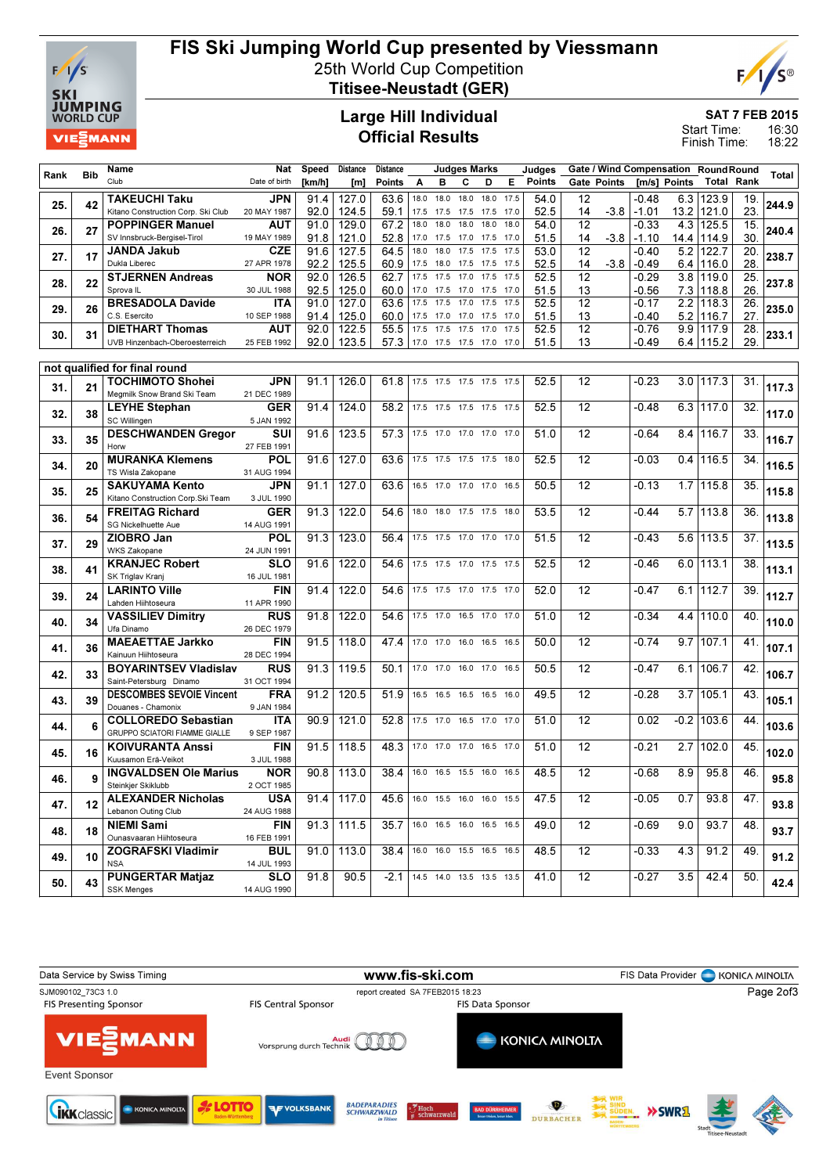

# FIS Ski Jumping World Cup presented by Viessmann

25th World Cup Competition



Titisee-Neustadt (GER)

### Large Hill Individual Official Results

SAT 7 FEB 2015

16:30 18:22 Start Time: Finish Time:

|      |            | Name                                                        | Nat                       | Speed        | Distance       | Distance                      |              |              | <b>Judges Marks</b>      |              |              | Judges        |                       |        |                  |              | Gate / Wind Compensation RoundRound |                 |       |
|------|------------|-------------------------------------------------------------|---------------------------|--------------|----------------|-------------------------------|--------------|--------------|--------------------------|--------------|--------------|---------------|-----------------------|--------|------------------|--------------|-------------------------------------|-----------------|-------|
| Rank | <b>Bib</b> | Club                                                        | Date of birth             | [km/h]       | [m]            | <b>Points</b>                 | A            | в            | с                        | D            | Е            | <b>Points</b> | Gate Points           |        |                  | [m/s] Points | <b>Total Rank</b>                   |                 | Total |
|      |            | TAKEUCHI Taku                                               | JPN                       | 91.4         | 127.0          | 63.6                          | 18.0         | 18.0         | 18.0                     | 18.0         | 17.5         | 54.0          | 12                    |        | -0.48            |              | 6.3 123.9                           | 19.             |       |
| 25.  | 42         | Kitano Construction Corp. Ski Club                          | 20 MAY 1987               | 92.0         | 124.5          | 59.1                          | 17.5         | 17.5         | 17.5                     | 17.5         | 17.0         | 52.5          | 14                    | $-3.8$ | $-1.01$          |              | 13.2 121.0                          | 23.             | 244.9 |
| 26.  | 27         | <b>POPPINGER Manuel</b>                                     | AUT                       | 91.0         | 129.0          | 67.2                          | 18.0         | 18.0         | 18.0                     | 18.0         | 18.0         | 54.0          | $\overline{12}$       |        | $-0.33$          |              | 4.3 125.5                           | 15.             | 240.4 |
|      |            | SV Innsbruck-Bergisel-Tirol                                 | 19 MAY 1989               | 91.8         | 121.0          | 52.8                          | 17.0         | 17.5         | 17.0                     | 17.5         | 17.0         | 51.5          | 14                    | $-3.8$ | $-1.10$          | 14.4         | 114.9                               | 30.             |       |
| 27.  | 17         | <b>JANDA Jakub</b>                                          | <b>CZE</b>                | 91.6         | 127.5          | 64.5                          | 18.0         | 18.0         | 17.5                     | 17.5         | 17.5         | 53.0          | $\overline{12}$       |        | $-0.40$          | 5.2          | 122.7                               | $\overline{20}$ | 238.7 |
|      |            | Dukla Liberec                                               | 27 APR 1978               | 92.2         | 125.5          | 60.9                          | 17.5         | 18.0         | 17.5                     | 17.5         | 17.5         | 52.5          | 14                    | $-3.8$ | $-0.49$          |              | $6.4$   116.0                       | 28              |       |
| 28.  | 22         | <b>STJERNEN Andreas</b><br>Sprova <sub>IL</sub>             | <b>NOR</b><br>30 JUL 1988 | 92.0<br>92.5 | 126.5<br>125.0 | 62.7<br>60.0                  | 17.5<br>17.0 | 17.5<br>17.5 | 17.0<br>17.0             | 17.5<br>17.5 | 17.5<br>17.0 | 52.5<br>51.5  | $\overline{12}$<br>13 |        | $-0.29$<br>-0.56 | 3.8          | 119.0                               | 25.<br>26.      | 237.8 |
|      |            | <b>BRESADOLA Davide</b>                                     | <b>ITA</b>                | 91.0         | 127.0          | 63.6                          | 17.5         | 17.5         | 17.0                     | 17.5         | 17.5         | 52.5          | $\overline{12}$       |        | $-0.17$          | 2.2          | 7.3   118.8<br>118.3                | $\overline{26}$ |       |
| 29.  | 26         | C.S. Esercito                                               | 10 SEP 1988               | 91.4         | 125.0          | 60.0                          | 17.5         | 17.0         | 17.0                     | 17.5         | 17.0         | 51.5          | 13                    |        | -0.40            | 5.2          | 116.7                               | 27.             | 235.0 |
|      |            | <b>DIETHART Thomas</b>                                      | AUT                       | 92.0         | 122.5          | 55.5                          | 17.5         | 17.5         | 17.5                     | 17.0         | 17.5         | 52.5          | $\overline{12}$       |        | $-0.76$          | 9.9          | 117.9                               | 28.             |       |
| 30.  | 31         | UVB Hinzenbach-Oberoesterreich                              | 25 FEB 1992               | 92.0         | 123.5          | 57.3                          |              |              | 17.0 17.5 17.5 17.0 17.0 |              |              | 51.5          | 13                    |        | -0.49            |              | $6.4$ 115.2                         | 29.             | 233.1 |
|      |            |                                                             |                           |              |                |                               |              |              |                          |              |              |               |                       |        |                  |              |                                     |                 |       |
|      |            | not qualified for final round                               |                           |              |                |                               |              |              |                          |              |              |               |                       |        |                  |              |                                     |                 |       |
| 31.  | 21         | TOCHIMOTO Shohei<br>Megmilk Snow Brand Ski Team             | JPN<br>21 DEC 1989        | 91.1         | 126.0          | 61.8                          |              |              | 17.5 17.5 17.5 17.5 17.5 |              |              | 52.5          | 12                    |        | $-0.23$          | 3.0          | 117.3                               | 31.             | 117.3 |
|      |            | <b>LEYHE Stephan</b>                                        | GER                       | 91.4         | 124.0          | 58.2                          |              |              | 17.5 17.5 17.5 17.5 17.5 |              |              | 52.5          | 12                    |        | $-0.48$          | $6.3 \mid$   | 117.0                               | 32.             |       |
| 32.  | 38         | <b>SC Willingen</b>                                         | 5 JAN 1992                |              |                |                               |              |              |                          |              |              |               |                       |        |                  |              |                                     |                 | 117.0 |
| 33.  | 35         | <b>DESCHWANDEN Gregor</b>                                   | SUI                       | 91.6         | 123.5          | 57.3                          |              |              | 17.5 17.0 17.0 17.0 17.0 |              |              | 51.0          | 12                    |        | $-0.64$          | 8.4          | 116.7                               | 33.             | 116.7 |
|      |            | Horw                                                        | 27 FEB 1991               |              |                |                               |              |              |                          |              |              |               |                       |        |                  |              |                                     |                 |       |
| 34.  | 20         | <b>MURANKA Klemens</b>                                      | POL                       | 91.6         | 127.0          | 63.6                          |              |              | 17.5 17.5 17.5 17.5 18.0 |              |              | 52.5          | $\overline{12}$       |        | $-0.03$          |              | $0.4$ 116.5                         | 34.             | 116.5 |
|      |            | TS Wisla Zakopane                                           | 31 AUG 1994               |              |                |                               |              |              |                          |              |              |               |                       |        |                  |              |                                     |                 |       |
| 35.  | 25         | <b>SAKUYAMA Kento</b><br>Kitano Construction Corp. Ski Team | JPN<br>3 JUL 1990         | 91.1         | 127.0          | 63.6                          | 16.5 17.0    |              | 17.0 17.0                |              | 16.5         | 50.5          | 12                    |        | $-0.13$          | 1.7          | 115.8                               | 35.             | 115.8 |
|      |            | <b>FREITAG Richard</b>                                      | GER                       | 91.3         | 122.0          | 54.6                          |              |              | 18.0 18.0 17.5 17.5 18.0 |              |              | 53.5          | 12                    |        | $-0.44$          | 5.7          | 113.8                               | 36.             |       |
| 36.  | 54         | SG Nickelhuette Aue                                         | 14 AUG 1991               |              |                |                               |              |              |                          |              |              |               |                       |        |                  |              |                                     |                 | 113.8 |
| 37.  | 29         | ZIOBRO Jan                                                  | POL                       | 91.3         | 123.0          | 56.4                          |              | 17.5 17.5    | 17.0 17.0                |              | 17.0         | 51.5          | $\overline{12}$       |        | $-0.43$          | 5.6          | 113.5                               | 37.             | 113.5 |
|      |            | <b>WKS Zakopane</b>                                         | 24 JUN 1991               |              |                |                               |              |              |                          |              |              |               |                       |        |                  |              |                                     |                 |       |
| 38.  | 41         | <b>KRANJEC Robert</b>                                       | SLO                       | 91.6         | 122.0          | 54.6                          |              |              | 17.5 17.5 17.0 17.5 17.5 |              |              | 52.5          | 12                    |        | $-0.46$          | 6.0          | 113.1                               | 38              | 113.1 |
|      |            | SK Triglav Kranj                                            | 16 JUL 1981               |              | 122.0          |                               | 17.5 17.5    |              | 17.0 17.5 17.0           |              |              |               | 12                    |        |                  |              | 112.7                               | 39.             |       |
| 39.  | 24         | <b>LARINTO Ville</b><br>Lahden Hiihtoseura                  | FIN<br>11 APR 1990        | 91.4         |                | 54.6                          |              |              |                          |              |              | 52.0          |                       |        | $-0.47$          | 6.1          |                                     |                 | 112.7 |
|      |            | <b>VASSILIEV Dimitry</b>                                    | <b>RUS</b>                | 91.8         | 122.0          | 54.6                          | 17.5 17.0    |              | 16.5 17.0 17.0           |              |              | 51.0          | 12                    |        | $-0.34$          | 4.4          | 110.0                               | 40.             |       |
| 40.  | 34         | Ufa Dinamo                                                  | 26 DEC 1979               |              |                |                               |              |              |                          |              |              |               |                       |        |                  |              |                                     |                 | 110.0 |
| 41.  | 36         | <b>MAEAETTAE Jarkko</b>                                     | FIN                       | 91.5         | 118.0          | 47.4                          |              |              | 17.0 17.0 16.0 16.5 16.5 |              |              | 50.0          | 12                    |        | $-0.74$          | 9.7          | 107.1                               | 41.             | 107.1 |
|      |            | Kainuun Hiihtoseura                                         | 28 DEC 1994               |              |                |                               |              |              |                          |              |              |               |                       |        |                  |              |                                     |                 |       |
| 42.  | 33         | <b>BOYARINTSEV Vladislav</b>                                | <b>RUS</b>                | 91.3         | 119.5          | 50.1                          |              |              | 17.0 17.0 16.0 17.0 16.5 |              |              | 50.5          | $\overline{12}$       |        | $-0.47$          | 6.1          | 106.7                               | 42.             | 106.7 |
|      |            | Saint-Petersburg Dinamo<br><b>DESCOMBES SEVOIE Vincent</b>  | 31 OCT 1994<br><b>FRA</b> | 91.2         | 120.5          | 51.9                          |              |              | 16.5 16.5 16.5 16.5      |              | 16.0         | 49.5          | 12                    |        | $-0.28$          | 3.7          | 105.1                               | 43.             |       |
| 43.  | 39         | Douanes - Chamonix                                          | 9 JAN 1984                |              |                |                               |              |              |                          |              |              |               |                       |        |                  |              |                                     |                 | 105.1 |
|      | 6          | <b>COLLOREDO Sebastian</b>                                  | ITA                       | 90.9         | 121.0          | 52.8                          | 17.5 17.0    |              | 16.5 17.0 17.0           |              |              | 51.0          | 12                    |        | 0.02             |              | $-0.2$ 103.6                        | 44.             | 103.6 |
| 44.  |            | <b>GRUPPO SCIATORI FIAMME GIALLE</b>                        | 9 SEP 1987                |              |                |                               |              |              |                          |              |              |               |                       |        |                  |              |                                     |                 |       |
| 45.  | 16         | <b>KOIVURANTA Anssi</b>                                     | FIN                       | 91.5         | 118.5          | 48.3                          | 17.0 17.0    |              | 17.0                     | 16.5         | 17.0         | 51.0          | 12                    |        | $-0.21$          | 2.7          | 102.0                               | 45.             | 102.0 |
|      |            | Kuusamon Erä-Veikot                                         | 3 JUL 1988                |              |                |                               |              |              |                          |              |              |               |                       |        |                  |              |                                     |                 |       |
| 46.  | Q          | <b>INGVALDSEN Ole Marius</b><br>Steinkjer Skiklubb          | <b>NOR</b><br>2 OCT 1985  | 90.8         | 113.0          | 38.4                          |              |              | 16.0 16.5 15.5 16.0 16.5 |              |              | 48.5          | $\overline{12}$       |        | $-0.68$          | 8.9          | 95.8                                | 46.             | 95.8  |
|      |            | <b>ALEXANDER Nicholas</b>                                   | <b>USA</b>                |              | $91.4$   117.0 | 45.6 16.0 15.5 16.0 16.0 15.5 |              |              |                          |              |              | 47.5          | 12                    |        | $-0.05$          | 0.7          | 93.8                                | 47.             |       |
| 47.  | 12         | Lebanon Outing Club                                         | 24 AUG 1988               |              |                |                               |              |              |                          |              |              |               |                       |        |                  |              |                                     |                 | 93.8  |
|      | 18         | <b>NIEMI Sami</b>                                           | FIN                       |              | $91.3$   111.5 | 35.7                          |              |              | 16.0 16.5 16.0 16.5 16.5 |              |              | 49.0          | 12                    |        | $-0.69$          | 9.0          | 93.7                                | 48.             | 93.7  |
| 48.  |            | Ounasvaaran Hiihtoseura                                     | 16 FEB 1991               |              |                |                               |              |              |                          |              |              |               |                       |        |                  |              |                                     |                 |       |
| 49.  | 10         | <b>ZOGRAFSKI Vladimir</b>                                   | BUL                       | 91.0         | 113.0          | 38.4                          |              |              | 16.0 16.0 15.5 16.5 16.5 |              |              | 48.5          | $\overline{12}$       |        | $-0.33$          | 4.3          | 91.2                                | 49.             | 91.2  |
|      |            | <b>NSA</b>                                                  | 14 JUL 1993               |              |                |                               |              |              |                          |              |              |               |                       |        |                  |              |                                     |                 |       |
| 50.  | 43         | <b>PUNGERTAR Matjaz</b><br><b>SSK Menges</b>                | <b>SLO</b><br>14 AUG 1990 | 91.8         | 90.5           | $-2.1$                        |              |              | 14.5 14.0 13.5 13.5 13.5 |              |              | 41.0          | $\overline{12}$       |        | $-0.27$          | 3.5          | 42.4                                | 50.             | 42.4  |
|      |            |                                                             |                           |              |                |                               |              |              |                          |              |              |               |                       |        |                  |              |                                     |                 |       |